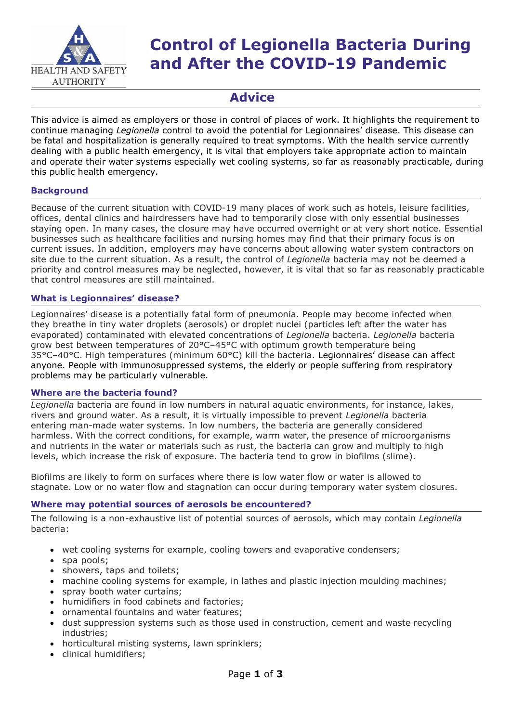

# **Control of Legionella Bacteria During and After the COVID-19 Pandemic**

# **Advice**

This advice is aimed as employers or those in control of places of work. It highlights the requirement to continue managing *Legionella* control to avoid the potential for Legionnaires' disease. This disease can be fatal and hospitalization is generally required to treat symptoms. With the health service currently dealing with a public health emergency, it is vital that employers take appropriate action to maintain and operate their water systems especially wet cooling systems, so far as reasonably practicable, during this public health emergency.

## **Background**

Because of the current situation with COVID-19 many places of work such as hotels, leisure facilities, offices, dental clinics and hairdressers have had to temporarily close with only essential businesses staying open. In many cases, the closure may have occurred overnight or at very short notice. Essential businesses such as healthcare facilities and nursing homes may find that their primary focus is on current issues. In addition, employers may have concerns about allowing water system contractors on site due to the current situation. As a result, the control of *Legionella* bacteria may not be deemed a priority and control measures may be neglected, however, it is vital that so far as reasonably practicable that control measures are still maintained.

#### **What is Legionnaires' disease?**

Legionnaires' disease is a potentially fatal form of pneumonia. People may become infected when they breathe in tiny water droplets (aerosols) or droplet nuclei (particles left after the water has evaporated) contaminated with elevated concentrations of *Legionella* bacteria. *Legionella* bacteria grow best between temperatures of 20°C–45°C with optimum growth temperature being 35°C–40°C. High temperatures (minimum 60°C) kill the bacteria. Legionnaires' disease can affect anyone. People with immunosuppressed systems, the elderly or people suffering from respiratory problems may be particularly vulnerable.

#### **Where are the bacteria found?**

*Legionella* bacteria are found in low numbers in natural aquatic environments, for instance, lakes, rivers and ground water. As a result, it is virtually impossible to prevent *Legionella* bacteria entering man-made water systems. In low numbers, the bacteria are generally considered harmless. With the correct conditions, for example, warm water, the presence of microorganisms and nutrients in the water or materials such as rust, the bacteria can grow and multiply to high levels, which increase the risk of exposure. The bacteria tend to grow in biofilms (slime).

Biofilms are likely to form on surfaces where there is low water flow or water is allowed to stagnate. Low or no water flow and stagnation can occur during temporary water system closures.

#### **Where may potential sources of aerosols be encountered?**

The following is a non-exhaustive list of potential sources of aerosols, which may contain *Legionella* bacteria:

- wet cooling systems for example, cooling towers and evaporative condensers;
- spa pools;
- showers, taps and toilets;
- machine cooling systems for example, in lathes and plastic injection moulding machines;
- spray booth water curtains;
- humidifiers in food cabinets and factories:
- ornamental fountains and water features;
- dust suppression systems such as those used in construction, cement and waste recycling industries;
- horticultural misting systems, lawn sprinklers;
- clinical humidifiers;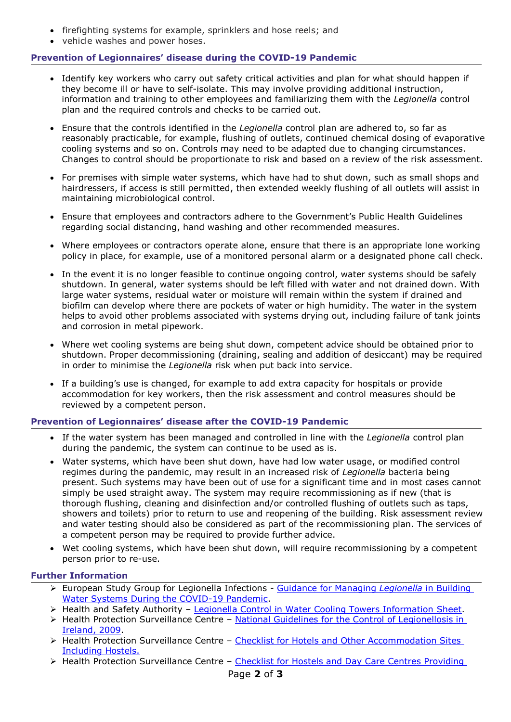- firefighting systems for example, sprinklers and hose reels; and
- vehicle washes and power hoses.

### **Prevention of Legionnaires' disease during the COVID-19 Pandemic**

- Identify key workers who carry out safety critical activities and plan for what should happen if they become ill or have to self-isolate. This may involve providing additional instruction, information and training to other employees and familiarizing them with the *Legionella* control plan and the required controls and checks to be carried out.
- Ensure that the controls identified in the *Legionella* control plan are adhered to, so far as reasonably practicable, for example, flushing of outlets, continued chemical dosing of evaporative cooling systems and so on. Controls may need to be adapted due to changing circumstances. Changes to control should be proportionate to risk and based on a review of the risk assessment.
- For premises with simple water systems, which have had to shut down, such as small shops and hairdressers, if access is still permitted, then extended weekly flushing of all outlets will assist in maintaining microbiological control.
- Ensure that employees and contractors adhere to the Government's Public Health Guidelines regarding social distancing, hand washing and other recommended measures.
- Where employees or contractors operate alone, ensure that there is an appropriate lone working policy in place, for example, use of a monitored personal alarm or a designated phone call check.
- In the event it is no longer feasible to continue ongoing control, water systems should be safely shutdown. In general, water systems should be left filled with water and not drained down. With large water systems, residual water or moisture will remain within the system if drained and biofilm can develop where there are pockets of water or high humidity. The water in the system helps to avoid other problems associated with systems drying out, including failure of tank joints and corrosion in metal pipework.
- Where wet cooling systems are being shut down, competent advice should be obtained prior to shutdown. Proper decommissioning (draining, sealing and addition of desiccant) may be required in order to minimise the *Legionella* risk when put back into service.
- If a building's use is changed, for example to add extra capacity for hospitals or provide accommodation for key workers, then the risk assessment and control measures should be reviewed by a competent person.

#### **Prevention of Legionnaires' disease after the COVID-19 Pandemic**

- If the water system has been managed and controlled in line with the *Legionella* control plan during the pandemic, the system can continue to be used as is.
- Water systems, which have been shut down, have had low water usage, or modified control regimes during the pandemic, may result in an increased risk of *Legionella* bacteria being present. Such systems may have been out of use for a significant time and in most cases cannot simply be used straight away. The system may require recommissioning as if new (that is thorough flushing, cleaning and disinfection and/or controlled flushing of outlets such as taps, showers and toilets) prior to return to use and reopening of the building. Risk assessment review and water testing should also be considered as part of the recommissioning plan. The services of a competent person may be required to provide further advice.
- Wet cooling systems, which have been shut down, will require recommissioning by a competent person prior to re-use.

#### **Further Information**

- European Study Group for Legionella Infections [Guidance for Managing](https://www.escmid.org/fileadmin/src/media/PDFs/3Research_Projects/ESGLI/COVId_buidling_water_system_guidance_27_3_20_v4_DS_pk.pdf) *Legionella* in Building [Water Systems During the COVID-19 Pandemic.](https://www.escmid.org/fileadmin/src/media/PDFs/3Research_Projects/ESGLI/COVId_buidling_water_system_guidance_27_3_20_v4_DS_pk.pdf)
- ▶ Health and Safety Authority [Legionella Control in Water Cooling Towers Information Sheet.](https://www.hsa.ie/eng/Publications_and_Forms/Publications/Information_Sheets/Legionalla_Control_in_Water_Cooling_Towers.pdf)
- > Health Protection Surveillance Centre National Guidelines for the Control of Legionellosis in [Ireland, 2009.](https://www.hpsc.ie/abouthpsc/scientificcommittees/publications/File,3936,en.pdf)
- ▶ Health Protection Surveillance Centre Checklist for Hotels and Other Accommodation Sites [Including Hostels.](https://www.hpsc.ie/a-z/respiratory/legionellosis/guidance/File,1816,en.pdf)
- $\triangleright$  Health Protection Surveillance Centre Checklist for Hostels and Day Care Centres Providing